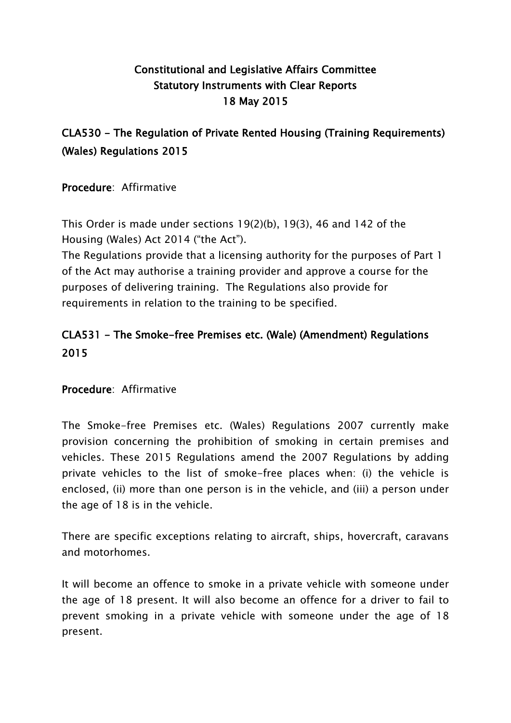## **Constitutional and Legislative Affairs Committee Statutory Instruments with Clear Reports 18 May 2015**

## **CLA530 - The Regulation of Private Rented Housing (Training Requirements) (Wales) Regulations 2015**

**Procedure**: Affirmative

This Order is made under sections 19(2)(b), 19(3), 46 and 142 of the Housing (Wales) Act 2014 ("the Act").

The Regulations provide that a licensing authority for the purposes of Part 1 of the Act may authorise a training provider and approve a course for the purposes of delivering training. The Regulations also provide for requirements in relation to the training to be specified.

## **CLA531 - The Smoke-free Premises etc. (Wale) (Amendment) Regulations 2015**

## **Procedure**: Affirmative

The Smoke-free Premises etc. (Wales) Regulations 2007 currently make provision concerning the prohibition of smoking in certain premises and vehicles. These 2015 Regulations amend the 2007 Regulations by adding private vehicles to the list of smoke-free places when: (i) the vehicle is enclosed, (ii) more than one person is in the vehicle, and (iii) a person under the age of 18 is in the vehicle.

There are specific exceptions relating to aircraft, ships, hovercraft, caravans and motorhomes.

It will become an offence to smoke in a private vehicle with someone under the age of 18 present. It will also become an offence for a driver to fail to prevent smoking in a private vehicle with someone under the age of 18 present.